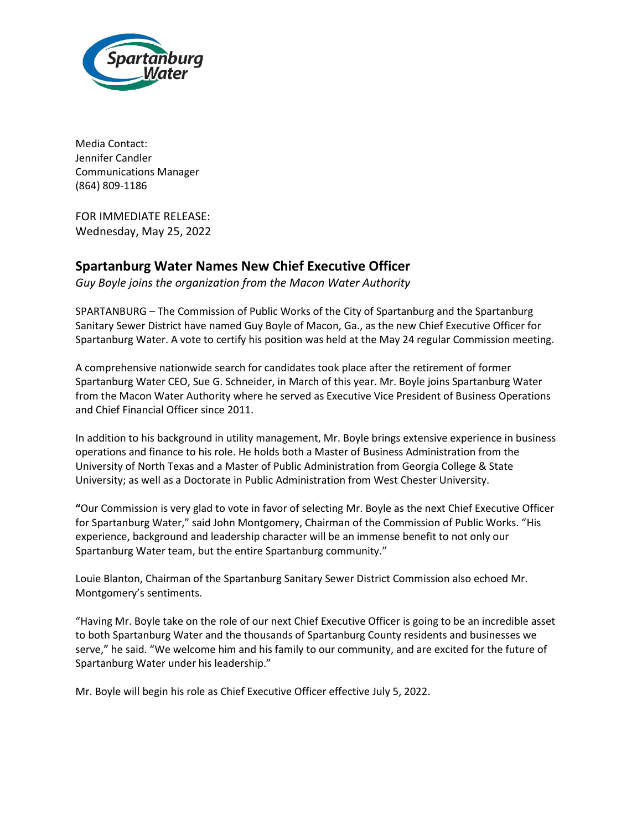

Media Contact: Jennifer Candler Communications Manager (864) 809-1186

FOR IMMEDIATE RELEASE: Wednesday, May 25, 2022

## **Spartanburg Water Names New Chief Executive Officer**

*Guy Boyle joins the organization from the Macon Water Authority*

SPARTANBURG – The Commission of Public Works of the City of Spartanburg and the Spartanburg Sanitary Sewer District have named Guy Boyle of Macon, Ga., as the new Chief Executive Officer for Spartanburg Water. A vote to certify his position was held at the May 24 regular Commission meeting.

A comprehensive nationwide search for candidates took place after the retirement of former Spartanburg Water CEO, Sue G. Schneider, in March of this year. Mr. Boyle joins Spartanburg Water from the Macon Water Authority where he served as Executive Vice President of Business Operations and Chief Financial Officer since 2011.

In addition to his background in utility management, Mr. Boyle brings extensive experience in business operations and finance to his role. He holds both a Master of Business Administration from the University of North Texas and a Master of Public Administration from Georgia College & State University; as well as a Doctorate in Public Administration from West Chester University.

**"**Our Commission is very glad to vote in favor of selecting Mr. Boyle as the next Chief Executive Officer for Spartanburg Water," said John Montgomery, Chairman of the Commission of Public Works. "His experience, background and leadership character will be an immense benefit to not only our Spartanburg Water team, but the entire Spartanburg community."

Louie Blanton, Chairman of the Spartanburg Sanitary Sewer District Commission also echoed Mr. Montgomery's sentiments.

"Having Mr. Boyle take on the role of our next Chief Executive Officer is going to be an incredible asset to both Spartanburg Water and the thousands of Spartanburg County residents and businesses we serve," he said. "We welcome him and his family to our community, and are excited for the future of Spartanburg Water under his leadership."

Mr. Boyle will begin his role as Chief Executive Officer effective July 5, 2022.